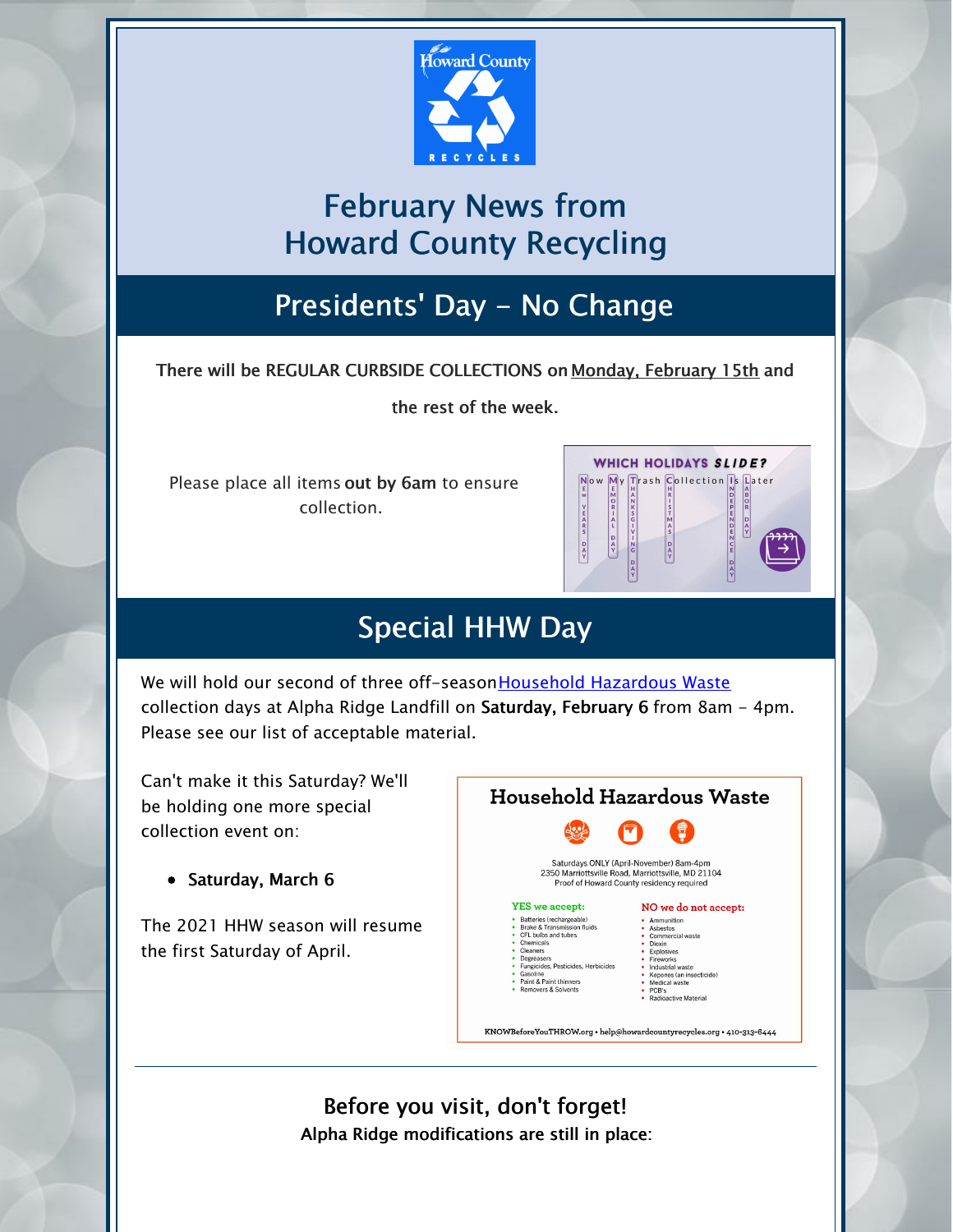

## February News from Howard County Recycling

#### Presidents' Day - No Change

There will be REGULAR CURBSIDE COLLECTIONS on Monday, February 15th and

the rest of the week.

Please place all items out by 6am to ensure collection.

|                                    |                                                                                                                      |                                                         | <b>WHICH HOLIDAYS SLIDE?</b>                                                                                                |
|------------------------------------|----------------------------------------------------------------------------------------------------------------------|---------------------------------------------------------|-----------------------------------------------------------------------------------------------------------------------------|
| E<br>w<br>Ÿ<br>EARS<br>D<br>A<br>Y | E<br>н<br>M<br>$\frac{A}{N}$<br>$\circ$<br>R<br>к<br>$\overline{\mathbf{s}}$<br>Ġ<br>Α<br>D<br>A<br>N<br>Ġ<br>D<br>A | н<br>R<br>s<br>м<br>$\frac{A}{S}$<br>D<br>$\frac{A}{V}$ | Now My Trash Collection Is Later<br>N<br>A<br>B<br>DEP<br>ō<br>R<br>E<br>N<br>D<br>A<br>Y<br>2 <sub>m</sub><br>CE<br>D<br>Ą |

#### Special HHW Day

We will hold our second of three off-season [Household](https://www.howardcountymd.gov/Departments/Public-Works/Bureau-Of-Environmental-Services/Alpha-Ridge-Landfill/Household-Hazardous-Waste) Hazardous Waste collection days at Alpha Ridge Landfill on Saturday, February 6 from 8am - 4pm. Please see our list of acceptable material.

Can't make it this Saturday? We'll be holding one more special collection event on:

• Saturday, March 6

The 2021 HHW season will resume the first Saturday of April.



Before you visit, don't forget! Alpha Ridge modifications are still in place: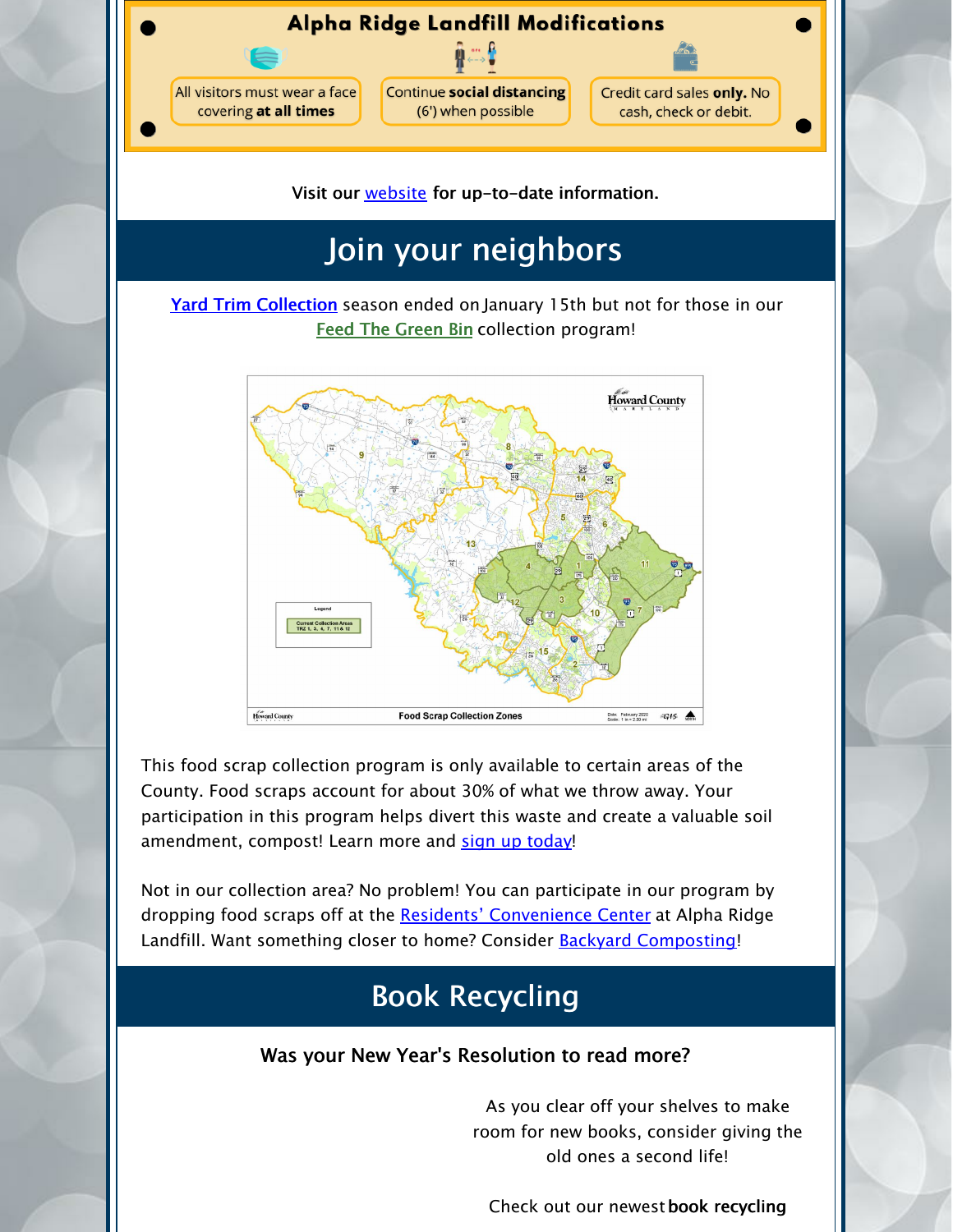

Visit our **[website](https://www.howardcountymd.gov/Departments/Public-Works/Bureau-Of-Environmental-Services/Alpha-Ridge-Landfill)** for up-to-date information.

# Join your neighbors

Yard Trim [Collection](https://www.howardcountymd.gov/Departments/Public-Works/Bureau-Of-Environmental-Services/Curbside-Collections#Yard-Trim-66) season ended on January 15th but not for those in our **Feed The [Green](https://www.howardcountymd.gov/Departments/Public-Works/Bureau-Of-Environmental-Services/Curbside-Collections/Feed-the-Green-Bin) Bin collection program!** 



This food scrap collection program is only available to certain areas of the County. Food scraps account for about 30% of what we throw away. Your participation in this program helps divert this waste and create a valuable soil amendment, compost! Learn more and sign up [today](https://www.howardcountymd.gov/Departments/Public-Works/Bureau-Of-Environmental-Services/Curbside-Collections/Feed-the-Green-Bin)!

Not in our collection area? No problem! You can participate in our program by dropping food scraps off at the Residents' [Convenience](https://www.howardcountymd.gov/Departments/Public-Works/Bureau-Of-Environmental-Services/Alpha-Ridge-Landfill#Residents-Convenience-Center-14) Center at Alpha Ridge Landfill. Want something closer to home? Consider **Backyard [Composting](https://www.howardcountymd.gov/Departments/Public-Works/Bureau-Of-Environmental-Services/Recycling/Backyard-Composting)!** 

## Book Recycling

#### Was your New Year's Resolution to read more?

As you clear off your shelves to make room for new books, consider giving the old ones a second life!

Check out our newestbook recycling